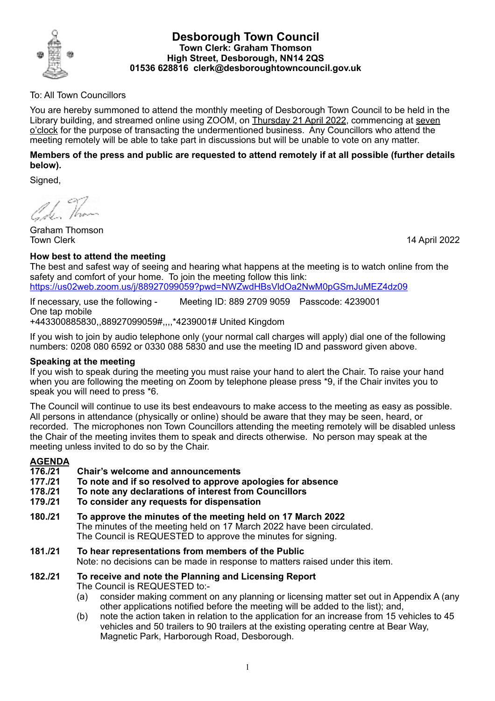

### **Desborough Town Council Town Clerk: Graham Thomson High Street, Desborough, NN14 2QS 01536 628816 clerk@desboroughtowncouncil.gov.uk**

# To: All Town Councillors

You are hereby summoned to attend the monthly meeting of Desborough Town Council to be held in the Library building, and streamed online using ZOOM, on Thursday 21 April 2022, commencing at seven o'clock for the purpose of transacting the undermentioned business. Any Councillors who attend the meeting remotely will be able to take part in discussions but will be unable to vote on any matter.

# **Members of the press and public are requested to attend remotely if at all possible (further details below).**

Signed,

1 Than

Graham Thomson Town Clerk 14 April 2022

# **How best to attend the meeting**

The best and safest way of seeing and hearing what happens at the meeting is to watch online from the safety and comfort of your home. To join the meeting follow this link: https://us02web.zoom.us/j/88927099059?pwd=NWZwdHBsVldOa2NwM0pGSmJuMEZ4dz09

If necessary, use the following - Meeting ID: 889 2709 9059 Passcode: 4239001 One tap mobile +443300885830,,88927099059#,,,,\*4239001# United Kingdom

If you wish to join by audio telephone only (your normal call charges will apply) dial one of the following numbers: 0208 080 6592 or 0330 088 5830 and use the meeting ID and password given above.

# **Speaking at the meeting**

If you wish to speak during the meeting you must raise your hand to alert the Chair. To raise your hand when you are following the meeting on Zoom by telephone please press \*9, if the Chair invites you to speak you will need to press \*6.

The Council will continue to use its best endeavours to make access to the meeting as easy as possible. All persons in attendance (physically or online) should be aware that they may be seen, heard, or recorded. The microphones non Town Councillors attending the meeting remotely will be disabled unless the Chair of the meeting invites them to speak and directs otherwise. No person may speak at the meeting unless invited to do so by the Chair.

# **AGENDA**

- **176./21 Chair's welcome and announcements**
- **177./21 To note and if so resolved to approve apologies for absence**
- **178./21 To note any declarations of interest from Councillors**
- **179./21 To consider any requests for dispensation**
- **180./21 To approve the minutes of the meeting held on 17 March 2022** The minutes of the meeting held on 17 March 2022 have been circulated. The Council is REQUESTED to approve the minutes for signing.
- **181./21 To hear representations from members of the Public**  Note: no decisions can be made in response to matters raised under this item.

# **182./21 To receive and note the Planning and Licensing Report**

The Council is REQUESTED to:-

- (a) consider making comment on any planning or licensing matter set out in Appendix A (any other applications notified before the meeting will be added to the list); and,
- (b) note the action taken in relation to the application for an increase from 15 vehicles to 45 vehicles and 50 trailers to 90 trailers at the existing operating centre at Bear Way, Magnetic Park, Harborough Road, Desborough.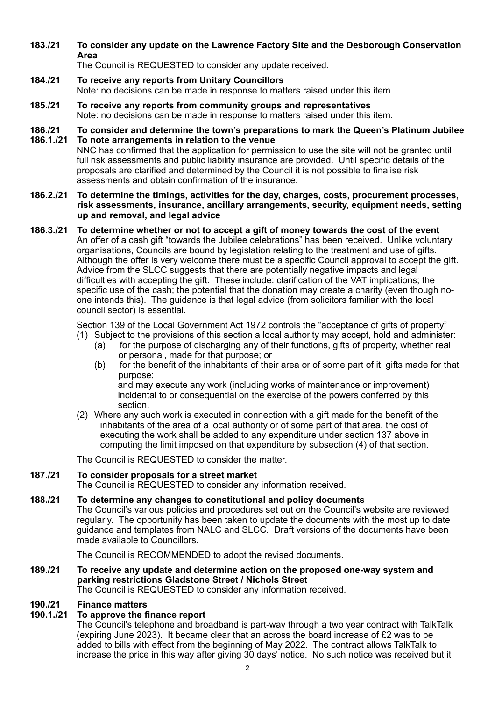**183./21 To consider any update on the Lawrence Factory Site and the Desborough Conservation Area**

The Council is REQUESTED to consider any update received.

- **184./21 To receive any reports from Unitary Councillors** Note: no decisions can be made in response to matters raised under this item.
- **185./21 To receive any reports from community groups and representatives** Note: no decisions can be made in response to matters raised under this item.

#### **186./21 To consider and determine the town's preparations to mark the Queen's Platinum Jubilee 186.1./21 To note arrangements in relation to the venue**

NNC has confirmed that the application for permission to use the site will not be granted until full risk assessments and public liability insurance are provided. Until specific details of the proposals are clarified and determined by the Council it is not possible to finalise risk assessments and obtain confirmation of the insurance.

#### **186.2./21 To determine the timings, activities for the day, charges, costs, procurement processes, risk assessments, insurance, ancillary arrangements, security, equipment needs, setting up and removal, and legal advice**

**186.3./21 To determine whether or not to accept a gift of money towards the cost of the event** An offer of a cash gift "towards the Jubilee celebrations" has been received. Unlike voluntary organisations, Councils are bound by legislation relating to the treatment and use of gifts. Although the offer is very welcome there must be a specific Council approval to accept the gift. Advice from the SLCC suggests that there are potentially negative impacts and legal difficulties with accepting the gift. These include: clarification of the VAT implications; the specific use of the cash; the potential that the donation may create a charity (even though noone intends this). The guidance is that legal advice (from solicitors familiar with the local council sector) is essential.

> Section 139 of the Local Government Act 1972 controls the "acceptance of gifts of property" (1) Subject to the provisions of this section a local authority may accept, hold and administer:

- (a) for the purpose of discharging any of their functions, gifts of property, whether real or personal, made for that purpose; or
- (b) for the benefit of the inhabitants of their area or of some part of it, gifts made for that purpose;

and may execute any work (including works of maintenance or improvement) incidental to or consequential on the exercise of the powers conferred by this section.

(2) Where any such work is executed in connection with a gift made for the benefit of the inhabitants of the area of a local authority or of some part of that area, the cost of executing the work shall be added to any expenditure under section 137 above in computing the limit imposed on that expenditure by subsection (4) of that section.

The Council is REQUESTED to consider the matter.

# **187./21 To consider proposals for a street market**

The Council is REQUESTED to consider any information received.

# **188./21 To determine any changes to constitutional and policy documents**

The Council's various policies and procedures set out on the Council's website are reviewed regularly. The opportunity has been taken to update the documents with the most up to date guidance and templates from NALC and SLCC. Draft versions of the documents have been made available to Councillors.

The Council is RECOMMENDED to adopt the revised documents.

**189./21 To receive any update and determine action on the proposed one-way system and parking restrictions Gladstone Street / Nichols Street**

The Council is REQUESTED to consider any information received.

# **190./21 Finance matters**

# **190.1./21 To approve the finance report**

The Council's telephone and broadband is part-way through a two year contract with TalkTalk (expiring June 2023). It became clear that an across the board increase of £2 was to be added to bills with effect from the beginning of May 2022. The contract allows TalkTalk to increase the price in this way after giving 30 days' notice. No such notice was received but it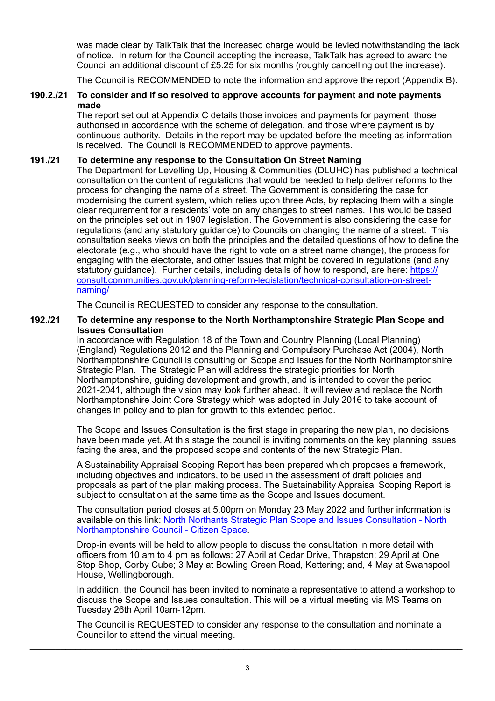was made clear by TalkTalk that the increased charge would be levied notwithstanding the lack of notice. In return for the Council accepting the increase, TalkTalk has agreed to award the Council an additional discount of £5.25 for six months (roughly cancelling out the increase).

The Council is RECOMMENDED to note the information and approve the report (Appendix B).

#### **190.2./21 To consider and if so resolved to approve accounts for payment and note payments made**

The report set out at Appendix C details those invoices and payments for payment, those authorised in accordance with the scheme of delegation, and those where payment is by continuous authority. Details in the report may be updated before the meeting as information is received. The Council is RECOMMENDED to approve payments.

#### **191./21 To determine any response to the Consultation On Street Naming**

The Department for Levelling Up, Housing & Communities (DLUHC) has published a technical consultation on the content of regulations that would be needed to help deliver reforms to the process for changing the name of a street. The Government is considering the case for modernising the current system, which relies upon three Acts, by replacing them with a single clear requirement for a residents' vote on any changes to street names. This would be based on the principles set out in 1907 legislation. The Government is also considering the case for regulations (and any statutory guidance) to Councils on changing the name of a street. This consultation seeks views on both the principles and the detailed questions of how to define the electorate (e.g., who should have the right to vote on a street name change), the process for engaging with the electorate, and other issues that might be covered in regulations (and any statutory quidance). Further details, including details of how to respond, are here: [https://](https://northantscalc.us19.list-manage.com/track/click?u=06fceb58f71fc0e936c95c0f5&id=8683405e5a&e=4a6d9a6e4e) [consult.communities.gov.uk/planning-reform-legislation/technical-consultation-on-street](https://northantscalc.us19.list-manage.com/track/click?u=06fceb58f71fc0e936c95c0f5&id=8683405e5a&e=4a6d9a6e4e)[naming/](https://northantscalc.us19.list-manage.com/track/click?u=06fceb58f71fc0e936c95c0f5&id=8683405e5a&e=4a6d9a6e4e)

The Council is REQUESTED to consider any response to the consultation.

#### **192./21 To determine any response to the North Northamptonshire Strategic Plan Scope and Issues Consultation**

In accordance with Regulation 18 of the Town and Country Planning (Local Planning) (England) Regulations 2012 and the Planning and Compulsory Purchase Act (2004), North Northamptonshire Council is consulting on Scope and Issues for the North Northamptonshire Strategic Plan. The Strategic Plan will address the strategic priorities for North Northamptonshire, guiding development and growth, and is intended to cover the period 2021-2041, although the vision may look further ahead. It will review and replace the North Northamptonshire Joint Core Strategy which was adopted in July 2016 to take account of changes in policy and to plan for growth to this extended period.

The Scope and Issues Consultation is the first stage in preparing the new plan, no decisions have been made yet. At this stage the council is inviting comments on the key planning issues facing the area, and the proposed scope and contents of the new Strategic Plan.

A Sustainability Appraisal Scoping Report has been prepared which proposes a framework, including objectives and indicators, to be used in the assessment of draft policies and proposals as part of the plan making process. The Sustainability Appraisal Scoping Report is subject to consultation at the same time as the Scope and Issues document.

The consultation period closes at 5.00pm on Monday 23 May 2022 and further information is [available on this link: North Northants Strategic Plan Scope and Issues Consultation - North](https://northnorthants.citizenspace.com/planning/north-northants-strategic-plan-scope-and-issues-co)  [Northamptonshire Council - Citizen Space.](https://northnorthants.citizenspace.com/planning/north-northants-strategic-plan-scope-and-issues-co)

Drop-in events will be held to allow people to discuss the consultation in more detail with officers from 10 am to 4 pm as follows: 27 April at Cedar Drive, Thrapston; 29 April at One Stop Shop, Corby Cube; 3 May at Bowling Green Road, Kettering; and, 4 May at Swanspool House, Wellingborough.

In addition, the Council has been invited to nominate a representative to attend a workshop to discuss the Scope and Issues consultation. This will be a virtual meeting via MS Teams on Tuesday 26th April 10am-12pm.

The Council is REQUESTED to consider any response to the consultation and nominate a Councillor to attend the virtual meeting.  $\_$  ,  $\_$  ,  $\_$  ,  $\_$  ,  $\_$  ,  $\_$  ,  $\_$  ,  $\_$  ,  $\_$  ,  $\_$  ,  $\_$  ,  $\_$  ,  $\_$  ,  $\_$  ,  $\_$  ,  $\_$  ,  $\_$  ,  $\_$  ,  $\_$  ,  $\_$  ,  $\_$  ,  $\_$  ,  $\_$  ,  $\_$  ,  $\_$  ,  $\_$  ,  $\_$  ,  $\_$  ,  $\_$  ,  $\_$  ,  $\_$  ,  $\_$  ,  $\_$  ,  $\_$  ,  $\_$  ,  $\_$  ,  $\_$  ,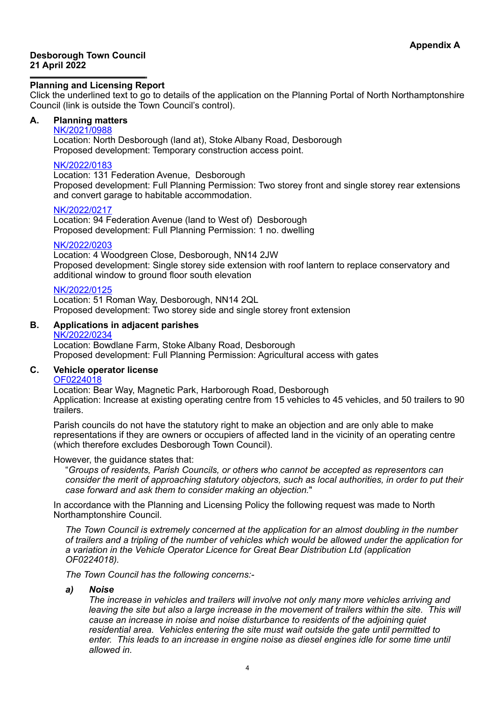#### **Desborough Town Council 21 April 2022**

#### **Planning and Licensing Report**

Click the underlined text to go to details of the application on the Planning Portal of North Northamptonshire Council (link is outside the Town Council's control).

# **A. Planning matters**

# [NK/2021/0988](https://www.kettering.gov.uk/planningApplication/131741)

Location: North Desborough (land at), Stoke Albany Road, Desborough Proposed development: Temporary construction access point.

#### [NK/2022/0183](https://www.kettering.gov.uk/planningApplication/131772)

Location: 131 Federation Avenue, Desborough Proposed development: Full Planning Permission: Two storey front and single storey rear extensions and convert garage to habitable accommodation.

#### [NK/2022/0217](https://www.kettering.gov.uk/planningApplication/131785)

Location: 94 Federation Avenue (land to West of) Desborough Proposed development: Full Planning Permission: 1 no. dwelling

#### [NK/2022/0203](https://www.kettering.gov.uk/planningApplication/131795)

Location: 4 Woodgreen Close, Desborough, NN14 2JW Proposed development: Single storey side extension with roof lantern to replace conservatory and additional window to ground floor south elevation

#### [NK/2022/0125](https://www.kettering.gov.uk/planningApplication/131798)

Location: 51 Roman Way, Desborough, NN14 2QL Proposed development: Two storey side and single storey front extension

# **B. Applications in adjacent parishes**

#### [NK/2022/0234](https://www.kettering.gov.uk/planningApplication/131808)

Location: Bowdlane Farm, Stoke Albany Road, Desborough Proposed development: Full Planning Permission: Agricultural access with gates

### **C. Vehicle operator license**

### [OF0224018](https://www.vehicle-operator-licensing.service.gov.uk/view-details/licence/100034)

Location: Bear Way, Magnetic Park, Harborough Road, Desborough Application: Increase at existing operating centre from 15 vehicles to 45 vehicles, and 50 trailers to 90 trailers.

Parish councils do not have the statutory right to make an objection and are only able to make representations if they are owners or occupiers of affected land in the vicinity of an operating centre (which therefore excludes Desborough Town Council).

#### However, the guidance states that:

"*Groups of residents, Parish Councils, or others who cannot be accepted as representors can consider the merit of approaching statutory objectors, such as local authorities, in order to put their case forward and ask them to consider making an objection.*"

In accordance with the Planning and Licensing Policy the following request was made to North Northamptonshire Council.

*The Town Council is extremely concerned at the application for an almost doubling in the number of trailers and a tripling of the number of vehicles which would be allowed under the application for a variation in the Vehicle Operator Licence for Great Bear Distribution Ltd (application [OF0224018\)](https://www.vehicle-operator-licensing.service.gov.uk/view-details/licence/100034).*

*The Town Council has the following concerns:-*

#### *a) Noise*

*The increase in vehicles and trailers will involve not only many more vehicles arriving and leaving the site but also a large increase in the movement of trailers within the site. This will cause an increase in noise and noise disturbance to residents of the adjoining quiet residential area. Vehicles entering the site must wait outside the gate until permitted to enter. This leads to an increase in engine noise as diesel engines idle for some time until allowed in.*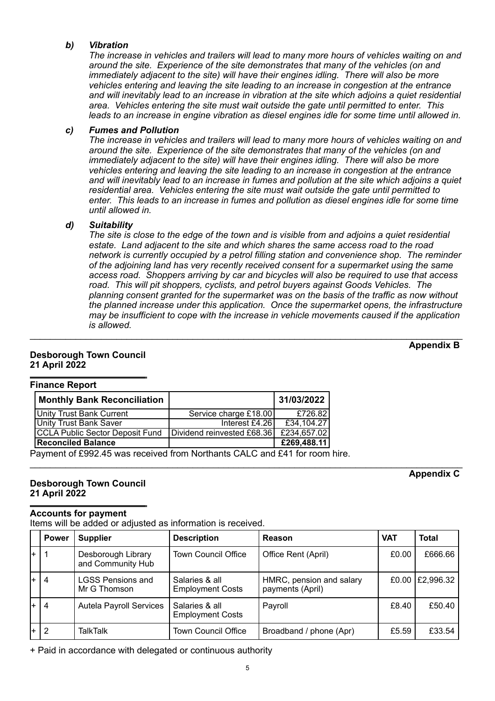### *b) Vibration*

*The increase in vehicles and trailers will lead to many more hours of vehicles waiting on and around the site. Experience of the site demonstrates that many of the vehicles (on and immediately adjacent to the site) will have their engines idling. There will also be more vehicles entering and leaving the site leading to an increase in congestion at the entrance and will inevitably lead to an increase in vibration at the site which adjoins a quiet residential area. Vehicles entering the site must wait outside the gate until permitted to enter. This leads to an increase in engine vibration as diesel engines idle for some time until allowed in.*

#### *c) Fumes and Pollution*

*The increase in vehicles and trailers will lead to many more hours of vehicles waiting on and around the site. Experience of the site demonstrates that many of the vehicles (on and immediately adjacent to the site) will have their engines idling. There will also be more vehicles entering and leaving the site leading to an increase in congestion at the entrance and will inevitably lead to an increase in fumes and pollution at the site which adjoins a quiet residential area. Vehicles entering the site must wait outside the gate until permitted to enter. This leads to an increase in fumes and pollution as diesel engines idle for some time until allowed in.*

### *d) Suitability*

*The site is close to the edge of the town and is visible from and adjoins a quiet residential estate. Land adjacent to the site and which shares the same access road to the road network is currently occupied by a petrol filling station and convenience shop. The reminder of the adjoining land has very recently received consent for a supermarket using the same access road. Shoppers arriving by car and bicycles will also be required to use that access road. This will pit shoppers, cyclists, and petrol buyers against Goods Vehicles. The planning consent granted for the supermarket was on the basis of the traffic as now without the planned increase under this application. Once the supermarket opens, the infrastructure may be insufficient to cope with the increase in vehicle movements caused if the application is allowed.*

 $\_$  , and the set of the set of the set of the set of the set of the set of the set of the set of the set of the set of the set of the set of the set of the set of the set of the set of the set of the set of the set of th

# **Appendix B**

# **Desborough Town Council 21 April 2022**

**Finance Report**

| . ∝∪∪ ∪p∪                              |                            |             |  |  |  |
|----------------------------------------|----------------------------|-------------|--|--|--|
| <b>Monthly Bank Reconciliation</b>     |                            | 31/03/2022  |  |  |  |
| <b>Unity Trust Bank Current</b>        | Service charge £18.00      | £726.82     |  |  |  |
| <b>Unity Trust Bank Saver</b>          | Interest £4.26             | £34,104.27  |  |  |  |
| <b>CCLA Public Sector Deposit Fund</b> | Dividend reinvested £68.36 | £234,657.02 |  |  |  |
| <b>Reconciled Balance</b>              |                            | £269,488.11 |  |  |  |

Payment of £992.45 was received from Northants CALC and £41 for room hire.

 $\_$  ,  $\_$  ,  $\_$  ,  $\_$  ,  $\_$  ,  $\_$  ,  $\_$  ,  $\_$  ,  $\_$  ,  $\_$  ,  $\_$  ,  $\_$  ,  $\_$  ,  $\_$  ,  $\_$  ,  $\_$  ,  $\_$  ,  $\_$  ,  $\_$  ,  $\_$  ,  $\_$  ,  $\_$  ,  $\_$  ,  $\_$  ,  $\_$  ,  $\_$  ,  $\_$  ,  $\_$  ,  $\_$  ,  $\_$  ,  $\_$  ,  $\_$  ,  $\_$  ,  $\_$  ,  $\_$  ,  $\_$  ,  $\_$  , **Appendix C**

# **Desborough Town Council 21 April 2022**

#### **Accounts for payment**

Items will be added or adjusted as information is received.

|    | <b>Power</b>   | <b>Supplier</b>                          | <b>Description</b>                        | Reason                                       | <b>VAT</b> | <b>Total</b>      |
|----|----------------|------------------------------------------|-------------------------------------------|----------------------------------------------|------------|-------------------|
| l+ |                | Desborough Library<br>and Community Hub  | <b>Town Council Office</b>                | Office Rent (April)                          | £0.00      | £666.66           |
| l+ | $\overline{4}$ | <b>LGSS Pensions and</b><br>Mr G Thomson | Salaries & all<br><b>Employment Costs</b> | HMRC, pension and salary<br>payments (April) |            | £0.00   £2,996.32 |
| l+ | $\overline{4}$ | <b>Autela Payroll Services</b>           | Salaries & all<br><b>Employment Costs</b> | Payroll                                      | £8.40      | £50.40            |
| l+ | -2             | TalkTalk                                 | <b>Town Council Office</b>                | Broadband / phone (Apr)                      | £5.59      | £33.54            |

+ Paid in accordance with delegated or continuous authority